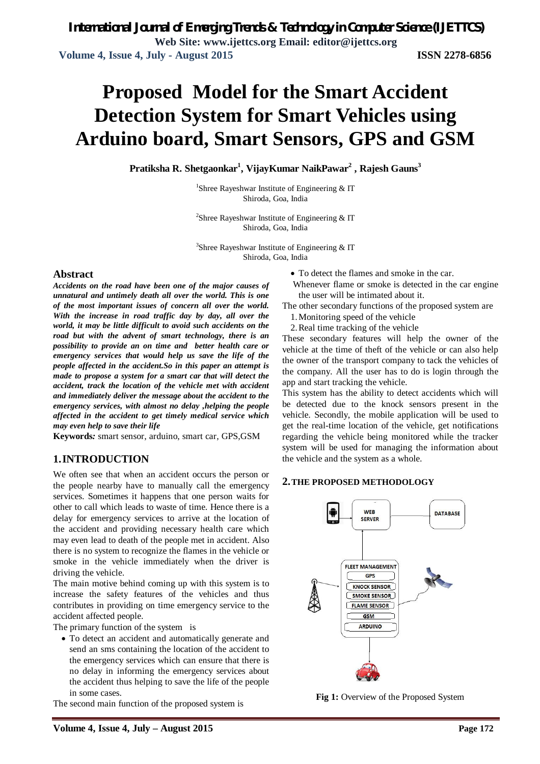# **Proposed Model for the Smart Accident Detection System for Smart Vehicles using Arduino board, Smart Sensors, GPS and GSM**

*International Journal of Emerging Trends & Technology in Computer Science (IJETTCS)*

**Pratiksha R. Shetgaonkar<sup>1</sup> , VijayKumar NaikPawar<sup>2</sup> , Rajesh Gauns<sup>3</sup>**

<sup>1</sup>Shree Rayeshwar Institute of Engineering & IT Shiroda, Goa, India

<sup>2</sup>Shree Rayeshwar Institute of Engineering  $\&$  IT Shiroda, Goa, India

 $3$ Shree Rayeshwar Institute of Engineering & IT Shiroda, Goa, India

#### **Abstract**

*Accidents on the road have been one of the major causes of unnatural and untimely death all over the world. This is one of the most important issues of concern all over the world. With the increase in road traffic day by day, all over the world, it may be little difficult to avoid such accidents on the road but with the advent of smart technology, there is an possibility to provide an on time and better health care or emergency services that would help us save the life of the people affected in the accident.So in this paper an attempt is made to propose a system for a smart car that will detect the accident, track the location of the vehicle met with accident and immediately deliver the message about the accident to the emergency services, with almost no delay ,helping the people affected in the accident to get timely medical service which may even help to save their life*

**Keywords***:* smart sensor, arduino, smart car, GPS,GSM

### **1.INTRODUCTION**

We often see that when an accident occurs the person or the people nearby have to manually call the emergency services. Sometimes it happens that one person waits for other to call which leads to waste of time. Hence there is a delay for emergency services to arrive at the location of the accident and providing necessary health care which may even lead to death of the people met in accident. Also there is no system to recognize the flames in the vehicle or smoke in the vehicle immediately when the driver is driving the vehicle.

The main motive behind coming up with this system is to increase the safety features of the vehicles and thus contributes in providing on time emergency service to the accident affected people.

The primary function of the system is

 To detect an accident and automatically generate and send an sms containing the location of the accident to the emergency services which can ensure that there is no delay in informing the emergency services about the accident thus helping to save the life of the people in some cases.

The second main function of the proposed system is

- To detect the flames and smoke in the car.
- Whenever flame or smoke is detected in the car engine the user will be intimated about it.

The other secondary functions of the proposed system are

- 1.Monitoring speed of the vehicle
- 2.Real time tracking of the vehicle

These secondary features will help the owner of the vehicle at the time of theft of the vehicle or can also help the owner of the transport company to tack the vehicles of the company. All the user has to do is login through the app and start tracking the vehicle.

This system has the ability to detect accidents which will be detected due to the knock sensors present in the vehicle. Secondly, the mobile application will be used to get the real-time location of the vehicle, get notifications regarding the vehicle being monitored while the tracker system will be used for managing the information about the vehicle and the system as a whole.

### **2.THE PROPOSED METHODOLOGY**



**Fig 1:** Overview of the Proposed System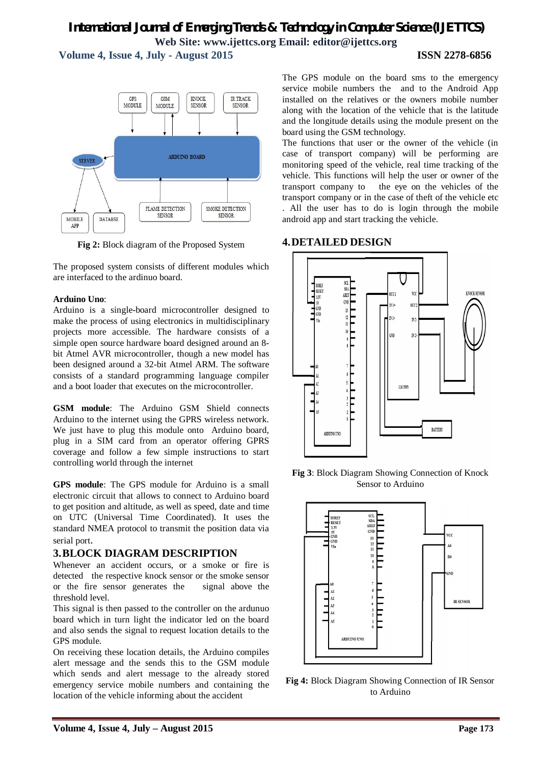## *International Journal of Emerging Trends & Technology in Computer Science (IJETTCS)* **Web Site: www.ijettcs.org Email: editor@ijettcs.org**

 **Volume 4, Issue 4, July - August 2015 ISSN 2278-6856**

#### $CCM$ **ENOCK ID TO ACK**  $CDC$ MODULE **MODULE** SENSOR SENSOR ARDUINO BOARD SERVER FLAME DETECTION SMOKE DETECTION **SENSOR SENSOR** MOBILE DATABSE APP

**Fig 2:** Block diagram of the Proposed System

The proposed system consists of different modules which are interfaced to the ardinuo board.

### **Arduino Uno**:

Arduino is a single-board microcontroller designed to make the process of using electronics in multidisciplinary projects more accessible. The hardware consists of a simple open source hardware board designed around an 8 bit Atmel AVR microcontroller, though a new model has been designed around a 32-bit Atmel ARM. The software consists of a standard programming language compiler and a boot loader that executes on the microcontroller.

**GSM module**: The Arduino GSM Shield connects Arduino to the internet using the GPRS wireless network. We just have to plug this module onto Arduino board, plug in a SIM card from an operator offering GPRS coverage and follow a few simple instructions to start controlling world through the internet

**GPS module**: The GPS module for Arduino is a small electronic circuit that allows to connect to Arduino board to get position and altitude, as well as speed, date and time on UTC (Universal Time Coordinated). It uses the standard NMEA protocol to transmit the position data via serial port.

### **3.BLOCK DIAGRAM DESCRIPTION**

Whenever an accident occurs, or a smoke or fire is detected the respective knock sensor or the smoke sensor or the fire sensor generates the signal above the threshold level.

This signal is then passed to the controller on the ardunuo board which in turn light the indicator led on the board and also sends the signal to request location details to the GPS module.

On receiving these location details, the Arduino compiles alert message and the sends this to the GSM module which sends and alert message to the already stored emergency service mobile numbers and containing the location of the vehicle informing about the accident

The GPS module on the board sms to the emergency service mobile numbers the and to the Android App installed on the relatives or the owners mobile number along with the location of the vehicle that is the latitude and the longitude details using the module present on the board using the GSM technology.

The functions that user or the owner of the vehicle (in case of transport company) will be performing are monitoring speed of the vehicle, real time tracking of the vehicle. This functions will help the user or owner of the transport company to the eye on the vehicles of the transport company or in the case of theft of the vehicle etc . All the user has to do is login through the mobile android app and start tracking the vehicle.

### **4.DETAILED DESIGN**



**Fig 3**: Block Diagram Showing Connection of Knock Sensor to Arduino



**Fig 4:** Block Diagram Showing Connection of IR Sensor to Arduino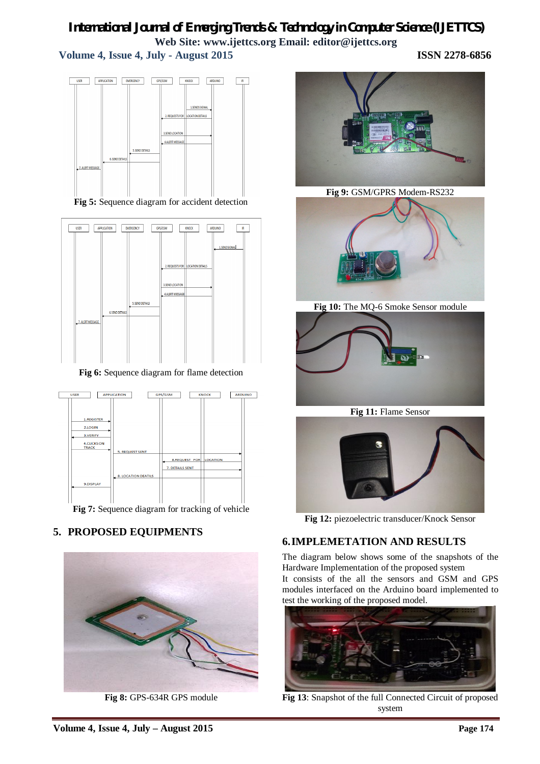### *International Journal of Emerging Trends & Technology in Computer Science (IJETTCS)* **Web Site: www.ijettcs.org Email: editor@ijettcs.org Volume 4, Issue 4, July - August 2015 ISSN 2278-6856**



**Fig 5:** Sequence diagram for accident detection



**Fig 6:** Sequence diagram for flame detection



**5. PROPOSED EQUIPMENTS**



**Fig 8:** GPS-634R GPS module



**Fig 9:** GSM/GPRS Modem-RS232



**Fig 10:** The MQ-6 Smoke Sensor module



**Fig 11:** Flame Sensor



**Fig 12:** piezoelectric transducer/Knock Sensor

### **6.IMPLEMETATION AND RESULTS**

The diagram below shows some of the snapshots of the Hardware Implementation of the proposed system It consists of the all the sensors and GSM and GPS modules interfaced on the Arduino board implemented to test the working of the proposed model.



**Fig 13**: Snapshot of the full Connected Circuit of proposed system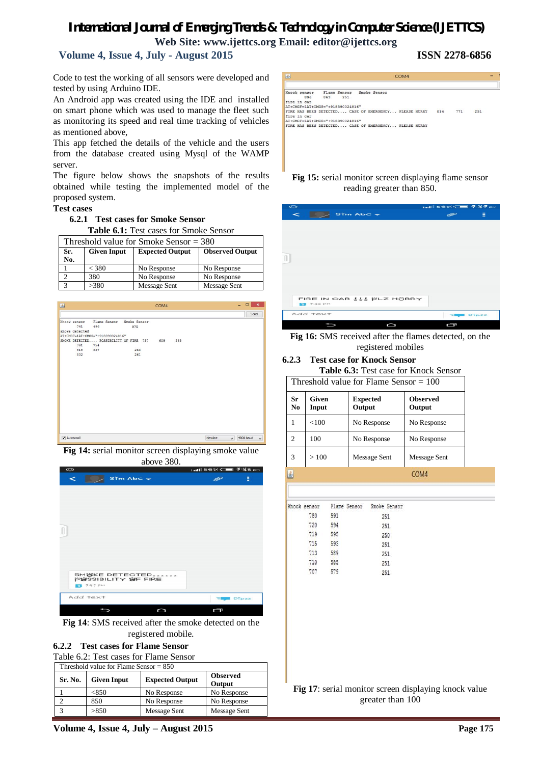### *International Journal of Emerging Trends & Technology in Computer Science (IJETTCS)* **Web Site: www.ijettcs.org Email: editor@ijettcs.org**

### **Volume 4, Issue 4, July - August 2015 ISSN 2278-6856**

Code to test the working of all sensors were developed and tested by using Arduino IDE.

An Android app was created using the IDE and installed on smart phone which was used to manage the fleet such as monitoring its speed and real time tracking of vehicles as mentioned above,

This app fetched the details of the vehicle and the users from the database created using Mysql of the WAMP server.

The figure below shows the snapshots of the results obtained while testing the implemented model of the proposed system.

### **Test cases**

### **6.2.1 Test cases for Smoke Sensor**

**Table 6.1:** Test cases for Smoke Sensor

| Threshold value for Smoke Sensor $=$ 380 |                    |                        |                        |  |  |  |
|------------------------------------------|--------------------|------------------------|------------------------|--|--|--|
| Sr.<br>No.                               | <b>Given Input</b> | <b>Expected Output</b> | <b>Observed Output</b> |  |  |  |
|                                          | < 380              | No Response            | No Response            |  |  |  |
|                                          | 380                | No Response            | No Response            |  |  |  |
|                                          | >380               | Message Sent           | Message Sent           |  |  |  |

| $\boxed{\underline{\mathcal{L}}_2}$ |                |                                  |                                        | COM4 |     |         |        | н<br>$\blacksquare$ | $\boldsymbol{\times}$ |
|-------------------------------------|----------------|----------------------------------|----------------------------------------|------|-----|---------|--------|---------------------|-----------------------|
|                                     |                |                                  |                                        |      |     |         |        | Send                |                       |
|                                     | Knock sensor   |                                  | Flame Sensor Smoke Sensor              |      |     |         |        |                     |                       |
|                                     | 741            | 496                              | 975                                    |      |     |         |        |                     |                       |
|                                     | smoke detected |                                  |                                        |      |     |         |        |                     |                       |
|                                     |                | AT+CMGF=1AT+CMGS="+918390024816" |                                        |      |     |         |        |                     |                       |
|                                     |                |                                  | SMOKE DETECTED POSSIBILITY OF FIRE 757 | 609  | 265 |         |        |                     |                       |
|                                     | 791            | 754                              |                                        |      |     |         |        |                     |                       |
|                                     | 818            | 837                              | 263                                    |      |     |         |        |                     |                       |
|                                     | 832            |                                  | 261                                    |      |     |         |        |                     |                       |
|                                     |                |                                  |                                        |      |     |         |        |                     |                       |
|                                     | Autoscroll     |                                  |                                        |      |     | Newline | $\vee$ | 4800 baud           | $\vee$                |

**Fig 14:** serial monitor screen displaying smoke value above 380.



**Fig 14**: SMS received after the smoke detected on the registered mobile.

#### **6.2.2 Test cases for Flame Sensor**

Table 6.2: Test cases for Flame Sensor

| Threshold value for Flame Sensor $= 850$ |                    |                        |                           |  |  |
|------------------------------------------|--------------------|------------------------|---------------------------|--|--|
| Sr. No.                                  | <b>Given Input</b> | <b>Expected Output</b> | <b>Observed</b><br>Output |  |  |
|                                          | < 850              | No Response            | No Response               |  |  |
|                                          | 850                | No Response            | No Response               |  |  |
|                                          | >850               | Message Sent           | Message Sent              |  |  |



#### **Fig 15:** serial monitor screen displaying flame sensor reading greater than 850.

| $\bullet$                                      | 1atl 56%に■ デジテpm |         |
|------------------------------------------------|------------------|---------|
| $S\bar{T}m$ Abc $\rightarrow$<br>$\prec$       | $\circledast$    | Ξ       |
|                                                |                  |         |
|                                                |                  |         |
|                                                |                  |         |
|                                                |                  |         |
|                                                |                  |         |
|                                                |                  |         |
|                                                |                  |         |
|                                                |                  |         |
| FIRE IN CAR !!! PLZ HORRY<br><b>FT</b> 7:44 PM |                  |         |
| Add text                                       |                  | $T = 2$ |
| ◠                                              | Ç                |         |

**Fig 16:** SMS received after the flames detected, on the registered mobiles

#### **6.2.3 Test case for Knock Sensor Table 6.3:** Test case for Knock Sensor

|                                          |  | Tuble 0101 Test case for Tritoch Delise |
|------------------------------------------|--|-----------------------------------------|
| Threshold value for Flame Sensor $= 100$ |  |                                         |

| Sr<br>No | Given<br>Input | <b>Expected</b><br>Output | <b>Observed</b><br>Output |
|----------|----------------|---------------------------|---------------------------|
|          | < 100          | No Response               | No Response               |
| 2        | 100            | No Response               | No Response               |
| 3        | >100           | Message Sent              | Message Sent              |
|          |                |                           |                           |

| nock sensor | Flame Sensor | Smoke Sensor |
|-------------|--------------|--------------|
| 780         | 591          | 251          |
| 720         | 594          | 251          |
| 719         | 595          | 250          |
| 715         | 593          | 251          |
| 713         | 589          | 251          |
| 710         | 585          | 251          |
| 707         | 579          | 251          |
|             |              |              |

k

**Fig 17**: serial monitor screen displaying knock value greater than 100